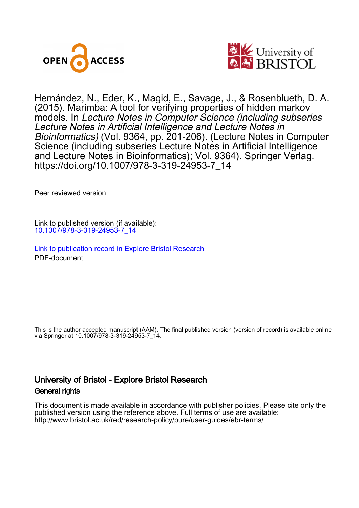



Hernández, N., Eder, K., Magid, E., Savage, J., & Rosenblueth, D. A. (2015). Marimba: A tool for verifying properties of hidden markov models. In Lecture Notes in Computer Science (including subseries Lecture Notes in Artificial Intelligence and Lecture Notes in Bioinformatics) (Vol. 9364, pp. 201-206). (Lecture Notes in Computer Science (including subseries Lecture Notes in Artificial Intelligence and Lecture Notes in Bioinformatics); Vol. 9364). Springer Verlag. [https://doi.org/10.1007/978-3-319-24953-7\\_14](https://doi.org/10.1007/978-3-319-24953-7_14)

Peer reviewed version

Link to published version (if available): [10.1007/978-3-319-24953-7\\_14](https://doi.org/10.1007/978-3-319-24953-7_14)

[Link to publication record in Explore Bristol Research](https://research-information.bris.ac.uk/en/publications/1a013892-a4e6-4157-a3bd-49ecaad0a479) PDF-document

This is the author accepted manuscript (AAM). The final published version (version of record) is available online via Springer at 10.1007/978-3-319-24953-7\_14.

# University of Bristol - Explore Bristol Research General rights

This document is made available in accordance with publisher policies. Please cite only the published version using the reference above. Full terms of use are available: http://www.bristol.ac.uk/red/research-policy/pure/user-guides/ebr-terms/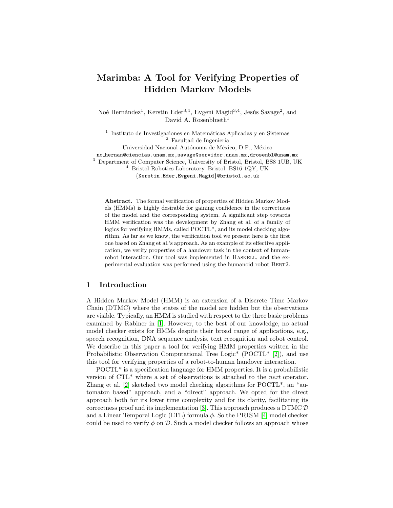## Marimba: A Tool for Verifying Properties of Hidden Markov Models

Noé Hernández<sup>1</sup>, Kerstin Eder<sup>3,4</sup>, Evgeni Magid<sup>3,4</sup>, Jesús Savage<sup>2</sup>, and David A. Rosenblueth<sup>1</sup>

<sup>1</sup> Instituto de Investigaciones en Matemáticas Aplicadas y en Sistemas  $^{\rm 2}$  Facultad de Ingeniería

Universidad Nacional Autónoma de México, D.F., México no hernan@ciencias.unam.mx,savage@servidor.unam.mx,drosenbl@unam.mx <sup>3</sup> Department of Computer Science, University of Bristol, Bristol, BS8 1UB, UK

<sup>4</sup> Bristol Robotics Laboratory, Bristol, BS16 1QY, UK

{Kerstin.Eder,Evgeni.Magid}@bristol.ac.uk

Abstract. The formal verification of properties of Hidden Markov Models (HMMs) is highly desirable for gaining confidence in the correctness of the model and the corresponding system. A significant step towards HMM verification was the development by Zhang et al. of a family of logics for verifying HMMs, called POCTL\*, and its model checking algorithm. As far as we know, the verification tool we present here is the first one based on Zhang et al.'s approach. As an example of its effective application, we verify properties of a handover task in the context of humanrobot interaction. Our tool was implemented in HASKELL, and the experimental evaluation was performed using the humanoid robot BERT2.

## 1 Introduction

A Hidden Markov Model (HMM) is an extension of a Discrete Time Markov Chain (DTMC) where the states of the model are hidden but the observations are visible. Typically, an HMM is studied with respect to the three basic problems examined by Rabiner in [\[1\]](#page-5-0). However, to the best of our knowledge, no actual model checker exists for HMMs despite their broad range of applications, e.g., speech recognition, DNA sequence analysis, text recognition and robot control. We describe in this paper a tool for verifying HMM properties written in the Probabilistic Observation Computational Tree Logic<sup>\*</sup> (POCTL<sup>\*</sup> [\[2\]](#page-6-0)), and use this tool for verifying properties of a robot-to-human handover interaction.

POCTL\* is a specification language for HMM properties. It is a probabilistic version of CTL\* where a set of observations is attached to the next operator. Zhang et al. [\[2\]](#page-6-0) sketched two model checking algorithms for POCTL\*, an "automaton based" approach, and a "direct" approach. We opted for the direct approach both for its lower time complexity and for its clarity, facilitating its correctness proof and its implementation [\[3\]](#page-6-1). This approach produces a DTMC  $\mathcal D$ and a Linear Temporal Logic (LTL) formula  $\phi$ . So the PRISM [\[4\]](#page-6-2) model checker could be used to verify  $\phi$  on  $\mathcal{D}$ . Such a model checker follows an approach whose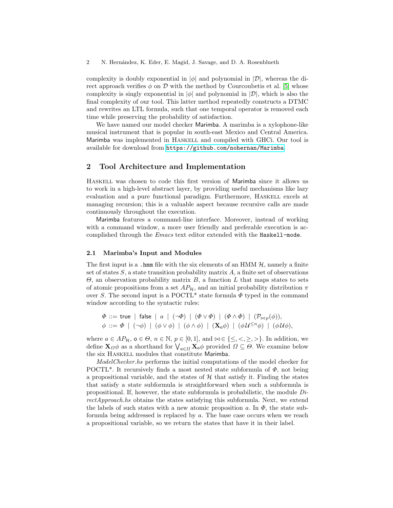complexity is doubly exponential in  $|\phi|$  and polynomial in  $|\mathcal{D}|$ , whereas the direct approach verifies  $\phi$  on  $\mathcal D$  with the method by Courcoubetis et al. [\[5\]](#page-6-3) whose complexity is singly exponential in  $|\phi|$  and polynomial in  $|\mathcal{D}|$ , which is also the final complexity of our tool. This latter method repeatedly constructs a DTMC and rewrites an LTL formula, such that one temporal operator is removed each time while preserving the probability of satisfaction.

We have named our model checker Marimba. A marimba is a xylophone-like musical instrument that is popular in south-east Mexico and Central America. Marimba was implemented in Haskell and compiled with GHCi. Our tool is available for download from <https://github.com/nohernan/Marimba>.

## 2 Tool Architecture and Implementation

Haskell was chosen to code this first version of Marimba since it allows us to work in a high-level abstract layer, by providing useful mechanisms like lazy evaluation and a pure functional paradigm. Furthermore, Haskell excels at managing recursion; this is a valuable aspect because recursive calls are made continuously throughout the execution.

Marimba features a command-line interface. Moreover, instead of working with a command window, a more user friendly and preferable execution is accomplished through the Emacs text editor extended with the Haskell-mode.

#### 2.1 Marimba's Input and Modules

The first input is a .hmm file with the six elements of an HMM  $H$ , namely a finite set of states  $S$ , a state transition probability matrix  $A$ , a finite set of observations  $\Theta$ , an observation probability matrix B, a function L that maps states to sets of atomic propositions from a set  $AP_{\mathcal{H}}$ , and an initial probability distribution  $\pi$ over S. The second input is a POCTL<sup>\*</sup> state formula  $\Phi$  typed in the command window according to the syntactic rules:

$$
\Phi ::= \textsf{true} \mid \textsf{false} \mid a \mid (\neg \Phi) \mid (\Phi \lor \Phi) \mid (\Phi \land \Phi) \mid (\mathcal{P}_{\bowtie p}(\phi)),
$$
\n
$$
\phi ::= \Phi \mid (\neg \phi) \mid (\phi \lor \phi) \mid (\phi \land \phi) \mid (\mathbf{X}_{\text{o}}\phi) \mid (\phi \mathcal{U}^{\leq n}\phi) \mid (\phi \mathcal{U}\phi),
$$

where  $a \in AP_H$ ,  $o \in \Theta$ ,  $n \in \mathbb{N}$ ,  $p \in [0,1]$ , and  $\bowtie \in \{\leq, <, \geq, >\}$ . In addition, we define  $\mathbf{X}_{\Omega}\phi$  as a shorthand for  $\bigvee_{\mathbf{o}\in\Omega}\mathbf{X}_{\mathbf{o}}\phi$  provided  $\Omega\subseteq\Theta$ . We examine below the six HASKELL modules that constitute Marimba.

ModelChecker.hs performs the initial computations of the model checker for POCTL<sup>\*</sup>. It recursively finds a most nested state subformula of  $\Phi$ , not being a propositional variable, and the states of  $H$  that satisfy it. Finding the states that satisfy a state subformula is straightforward when such a subformula is propositional. If, however, the state subformula is probabilistic, the module  $Di$ rectApproach.hs obtains the states satisfying this subformula. Next, we extend the labels of such states with a new atomic proposition a. In  $\Phi$ , the state subformula being addressed is replaced by a. The base case occurs when we reach a propositional variable, so we return the states that have it in their label.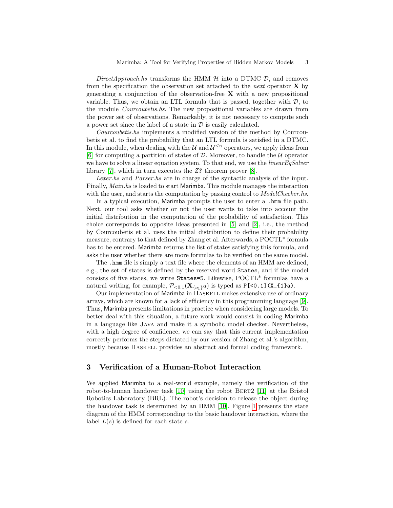DirectApproach.hs transforms the HMM  $H$  into a DTMC  $D$ , and removes from the specification the observation set attached to the *next* operator  $\bf{X}$  by generating a conjunction of the observation-free  $X$  with a new propositional variable. Thus, we obtain an LTL formula that is passed, together with  $D$ , to the module Courcoubetis.hs. The new propositional variables are drawn from the power set of observations. Remarkably, it is not necessary to compute such a power set since the label of a state in  $\mathcal D$  is easily calculated.

Courcoubetis.hs implements a modified version of the method by Courcoubetis et al. to find the probability that an LTL formula is satisfied in a DTMC. In this module, when dealing with the  $\mathcal U$  and  $\mathcal U^{\leq n}$  operators, we apply ideas from [\[6\]](#page-6-4) for computing a partition of states of  $D$ . Moreover, to handle the  $U$  operator we have to solve a linear equation system. To that end, we use the *linearEqSolver* library [\[7\]](#page-6-5), which in turn executes the Z3 theorem prover [\[8\]](#page-6-6).

Lexer.hs and Parser.hs are in charge of the syntactic analysis of the input. Finally, Main.hs is loaded to start Marimba. This module manages the interaction with the user, and starts the computation by passing control to *ModelChecker.hs.* 

In a typical execution, Marimba prompts the user to enter a .hmm file path. Next, our tool asks whether or not the user wants to take into account the initial distribution in the computation of the probability of satisfaction. This choice corresponds to opposite ideas presented in [\[5\]](#page-6-3) and [\[2\]](#page-6-0), i.e., the method by Courcoubetis et al. uses the initial distribution to define their probability measure, contrary to that defined by Zhang et al. Afterwards, a POCTL\* formula has to be entered. Marimba returns the list of states satisfying this formula, and asks the user whether there are more formulas to be verified on the same model.

The .hmm file is simply a text file where the elements of an HMM are defined, e.g., the set of states is defined by the reserved word States, and if the model consists of five states, we write States=5. Likewise, POCTL\* formulas have a natural writing, for example,  $\mathcal{P}_{<0.1}(\mathbf{X}_{\{o_1\}}a)$  is typed as P[<0.1](X\_{1}a).

Our implementation of Marimba in HASKELL makes extensive use of ordinary arrays, which are known for a lack of efficiency in this programming language [\[9\]](#page-6-7). Thus, Marimba presents limitations in practice when considering large models. To better deal with this situation, a future work would consist in coding Marimba in a language like Java and make it a symbolic model checker. Nevertheless, with a high degree of confidence, we can say that this current implementation correctly performs the steps dictated by our version of Zhang et al.'s algorithm, mostly because Haskell provides an abstract and formal coding framework.

## 3 Verification of a Human-Robot Interaction

We applied Marimba to a real-world example, namely the verification of the robot-to-human handover task [\[10\]](#page-6-8) using the robot BERT2 [\[11\]](#page-6-9) at the Bristol Robotics Laboratory (BRL). The robot's decision to release the object during the handover task is determined by an HMM [\[10\]](#page-6-8). Figure [1](#page-4-0) presents the state diagram of the HMM corresponding to the basic handover interaction, where the label  $L(s)$  is defined for each state s.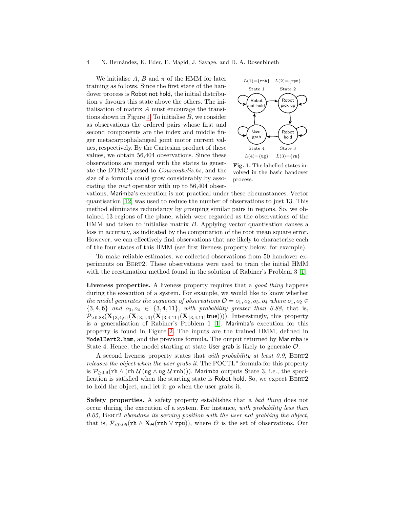#### 4 N. Hern´andez, K. Eder, E. Magid, J. Savage, and D. A. Rosenblueth

We initialise  $A, B$  and  $\pi$  of the HMM for later training as follows. Since the first state of the handover process is Robot not hold, the initial distribution  $\pi$  favours this state above the others. The initialisation of matrix A must encourage the transi-tions shown in Figure [1.](#page-4-0) To initialise  $B$ , we consider as observations the ordered pairs whose first and second components are the index and middle finger metacarpophalangeal joint motor current values, respectively. By the Cartesian product of these values, we obtain 56,404 observations. Since these observations are merged with the states to generate the DTMC passed to Courcoubetis.hs, and the size of a formula could grow considerably by associating the next operator with up to 56,404 obser-



<span id="page-4-0"></span>Fig. 1. The labelled states involved in the basic handover process.

vations, Marimba's execution is not practical under these circumstances. Vector quantisation [\[12\]](#page-6-10) was used to reduce the number of observations to just 13. This method eliminates redundancy by grouping similar pairs in regions. So, we obtained 13 regions of the plane, which were regarded as the observations of the HMM and taken to initialise matrix B. Applying vector quantisation causes a loss in accuracy, as indicated by the computation of the root mean square error. However, we can effectively find observations that are likely to characterise each of the four states of this HMM (see first liveness property below, for example).

To make reliable estimates, we collected observations from 50 handover experiments on Bert2. These observations were used to train the initial HMM with the reestimation method found in the solution of Rabiner's Problem 3 [\[1\]](#page-5-0).

Liveness properties. A liveness property requires that a good thing happens during the execution of a system. For example, we would like to know whether the model generates the sequence of observations  $\mathcal{O} = o_1, o_2, o_3, o_4$  where  $o_1, o_2 \in$  ${3, 4, 6}$  and  $o_3, o_4 \in {3, 4, 11}$ , with probability greater than 0.88, that is,  $P_{>0.88}(\mathbf{X}_{\{3,4,6\}}(\mathbf{X}_{\{3,4,6\}}(\mathbf{X}_{\{3,4,11\}}(\mathbf{X}_{\{3,4,11\}}\text{true}))))$ . Interestingly, this property is a generalisation of Rabiner's Problem 1 [\[1\]](#page-5-0). Marimba's execution for this property is found in Figure [2.](#page-5-1) The inputs are the trained HMM, defined in ModelBert2.hmm, and the previous formula. The output returned by Marimba is State 4. Hence, the model starting at state User grab is likely to generate  $\mathcal{O}$ .

A second liveness property states that with probability at least 0.9, BERT2 releases the object when the user grabs it. The POCTL\* formula for this property is  $P_{\geq 0.9}(\text{rh } \wedge (\text{rh } \mathcal{U}(\text{ug } \wedge \text{ug } \mathcal{U} \text{ rnh}))).$  Marimba outputs State 3, i.e., the specification is satisfied when the starting state is Robot hold. So, we expect BERT2 to hold the object, and let it go when the user grabs it.

Safety properties. A safety property establishes that a bad thing does not occur during the execution of a system. For instance, with probability less than  $0.05$ , BERT2 abandons its serving position with the user not grabbing the object, that is,  $\mathcal{P}_{\leq 0.05}(\text{rh} \wedge \mathbf{X}_{\Theta}(\text{rh} \vee \text{rpu}))$ , where  $\Theta$  is the set of observations. Our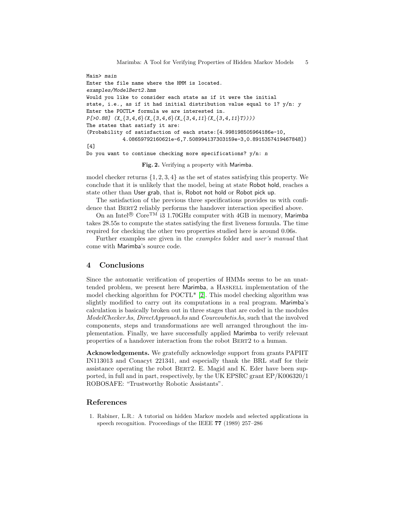```
Main> main
Enter the file name where the HMM is located.
examples/ModelBert2.hmm
Would you like to consider each state as if it were the initial
state, i.e., as if it had initial distribution value equal to 1? y/n: y
Enter the POCTL* formula we are interested in.
P[>0.88] (X_{-}\{3,4,6\}(X_{-}\{3,4,6\}(X_{-}\{3,4,11\}(X_{-}\{3,4,11\}T))))The states that satisfy it are:
(Probability of satisfaction of each state:[4.998198505964186e-10,
            4.08659792160621e-6,7.508994137303159e-3,0.8915357419467848])
[4]
Do you want to continue checking more specifications? y/n: n
```
<span id="page-5-1"></span>Fig. 2. Verifying a property with Marimba.

model checker returns  $\{1, 2, 3, 4\}$  as the set of states satisfying this property. We conclude that it is unlikely that the model, being at state Robot hold, reaches a state other than User grab, that is, Robot not hold or Robot pick up.

The satisfaction of the previous three specifications provides us with confidence that BERT2 reliably performs the handover interaction specified above.

On an Intel®  $\text{Core}^{\text{TM}}$  i3 1.70GHz computer with 4GB in memory, Marimba takes 28.55s to compute the states satisfying the first liveness formula. The time required for checking the other two properties studied here is around 0.06s.

Further examples are given in the examples folder and user's manual that come with Marimba's source code.

### 4 Conclusions

Since the automatic verification of properties of HMMs seems to be an unattended problem, we present here Marimba, a HASKELL implementation of the model checking algorithm for POCTL\* [\[2\]](#page-6-0). This model checking algorithm was slightly modified to carry out its computations in a real program. Marimba's calculation is basically broken out in three stages that are coded in the modules ModelChecker.hs, DirectApproach.hs and Courcoubetis.hs, such that the involved components, steps and transformations are well arranged throughout the implementation. Finally, we have successfully applied Marimba to verify relevant properties of a handover interaction from the robot BERT2 to a human.

Acknowledgements. We gratefully acknowledge support from grants PAPIIT IN113013 and Conacyt 221341, and especially thank the BRL staff for their assistance operating the robot Bert2. E. Magid and K. Eder have been supported, in full and in part, respectively, by the UK EPSRC grant EP/K006320/1 ROBOSAFE: "Trustworthy Robotic Assistants".

## References

<span id="page-5-0"></span>1. Rabiner, L.R.: A tutorial on hidden Markov models and selected applications in speech recognition. Proceedings of the IEEE 77 (1989) 257–286